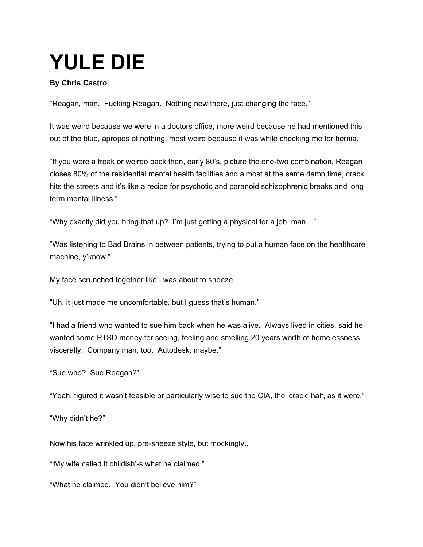## **YULE DIE**

## **By Chris Castro**

"Reagan, man. Fucking Reagan. Nothing new there, just changing the face."

It was weird because we were in a doctors office, more weird because he had mentioned this out of the blue, apropos of nothing, most weird because it was while checking me for hernia.

"If you were a freak or weirdo back then, early 80's, picture the one-two combination, Reagan closes 80% of the residential mental health facilities and almost at the same damn time, crack hits the streets and it's like a recipe for psychotic and paranoid schizophrenic breaks and long term mental illness."

"Why exactly did you bring that up? I'm just getting a physical for a job, man…"

"Was listening to Bad Brains in between patients, trying to put a human face on the healthcare machine, y'know."

My face scrunched together like I was about to sneeze.

"Uh, it just made me uncomfortable, but I guess that's human."

"I had a friend who wanted to sue him back when he was alive. Always lived in cities, said he wanted some PTSD money for seeing, feeling and smelling 20 years worth of homelessness viscerally. Company man, too. Autodesk, maybe."

"Sue who? Sue Reagan?"

"Yeah, figured it wasn't feasible or particularly wise to sue the CIA, the 'crack' half, as it were."

"Why didn't he?"

Now his face wrinkled up, pre-sneeze style, but mockingly..

"'My wife called it childish'-s what he claimed."

"What he claimed. You didn't believe him?"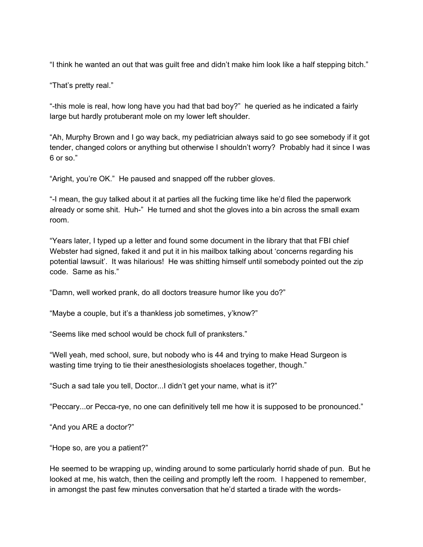"I think he wanted an out that was guilt free and didn't make him look like a half stepping bitch."

"That's pretty real."

"-this mole is real, how long have you had that bad boy?" he queried as he indicated a fairly large but hardly protuberant mole on my lower left shoulder.

"Ah, Murphy Brown and I go way back, my pediatrician always said to go see somebody if it got tender, changed colors or anything but otherwise I shouldn't worry? Probably had it since I was 6 or so."

"Aright, you're OK." He paused and snapped off the rubber gloves.

"-I mean, the guy talked about it at parties all the fucking time like he'd filed the paperwork already or some shit. Huh-" He turned and shot the gloves into a bin across the small exam room.

"Years later, I typed up a letter and found some document in the library that that FBI chief Webster had signed, faked it and put it in his mailbox talking about 'concerns regarding his potential lawsuit'. It was hilarious! He was shitting himself until somebody pointed out the zip code. Same as his."

"Damn, well worked prank, do all doctors treasure humor like you do?"

"Maybe a couple, but it's a thankless job sometimes, y'know?"

"Seems like med school would be chock full of pranksters."

"Well yeah, med school, sure, but nobody who is 44 and trying to make Head Surgeon is wasting time trying to tie their anesthesiologists shoelaces together, though."

"Such a sad tale you tell, Doctor...I didn't get your name, what is it?"

"Peccary...or Pecca-rye, no one can definitively tell me how it is supposed to be pronounced."

"And you ARE a doctor?"

"Hope so, are you a patient?"

He seemed to be wrapping up, winding around to some particularly horrid shade of pun. But he looked at me, his watch, then the ceiling and promptly left the room. I happened to remember, in amongst the past few minutes conversation that he'd started a tirade with the words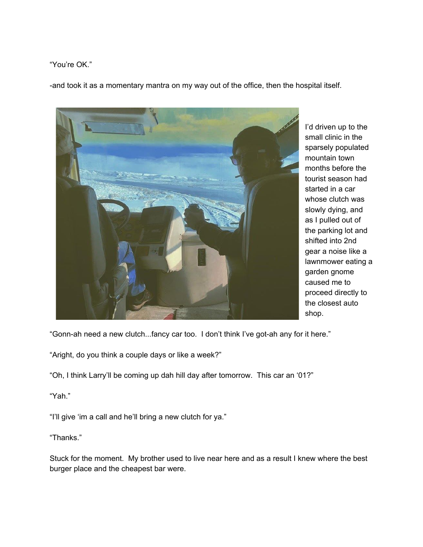"You're OK."

-and took it as a momentary mantra on my way out of the office, then the hospital itself.



I'd driven up to the small clinic in the sparsely populated mountain town months before the tourist season had started in a car whose clutch was slowly dying, and as I pulled out of the parking lot and shifted into 2nd gear a noise like a lawnmower eating a garden gnome caused me to proceed directly to the closest auto shop.

"Gonn-ah need a new clutch...fancy car too. I don't think I've got-ah any for it here."

"Aright, do you think a couple days or like a week?"

"Oh, I think Larry'll be coming up dah hill day after tomorrow. This car an '01?"

"Yah."

"I'll give 'im a call and he'll bring a new clutch for ya."

"Thanks."

Stuck for the moment. My brother used to live near here and as a result I knew where the best burger place and the cheapest bar were.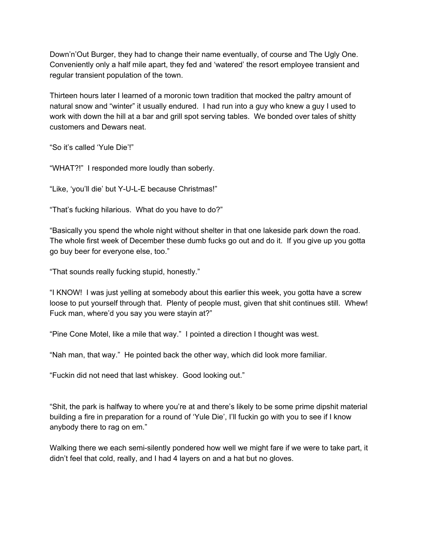Down'n'Out Burger, they had to change their name eventually, of course and The Ugly One. Conveniently only a half mile apart, they fed and 'watered' the resort employee transient and regular transient population of the town.

Thirteen hours later I learned of a moronic town tradition that mocked the paltry amount of natural snow and "winter" it usually endured. I had run into a guy who knew a guy I used to work with down the hill at a bar and grill spot serving tables. We bonded over tales of shitty customers and Dewars neat.

"So it's called 'Yule Die'!"

"WHAT?!" I responded more loudly than soberly.

"Like, 'you'll die' but Y-U-L-E because Christmas!"

"That's fucking hilarious. What do you have to do?"

"Basically you spend the whole night without shelter in that one lakeside park down the road. The whole first week of December these dumb fucks go out and do it. If you give up you gotta go buy beer for everyone else, too."

"That sounds really fucking stupid, honestly."

"I KNOW! I was just yelling at somebody about this earlier this week, you gotta have a screw loose to put yourself through that. Plenty of people must, given that shit continues still. Whew! Fuck man, where'd you say you were stayin at?"

"Pine Cone Motel, like a mile that way." I pointed a direction I thought was west.

"Nah man, that way." He pointed back the other way, which did look more familiar.

"Fuckin did not need that last whiskey. Good looking out."

"Shit, the park is halfway to where you're at and there's likely to be some prime dipshit material building a fire in preparation for a round of 'Yule Die', I'll fuckin go with you to see if I know anybody there to rag on em."

Walking there we each semi-silently pondered how well we might fare if we were to take part, it didn't feel that cold, really, and I had 4 layers on and a hat but no gloves.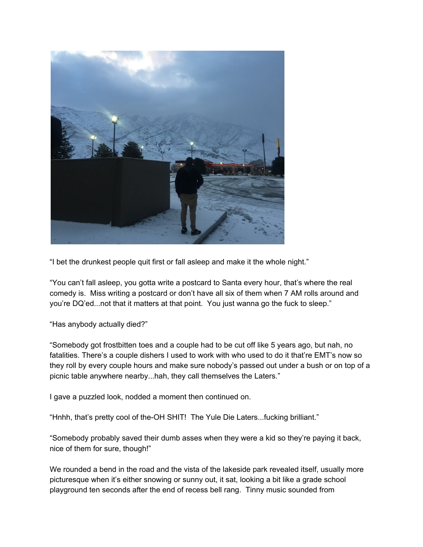

"I bet the drunkest people quit first or fall asleep and make it the whole night."

"You can't fall asleep, you gotta write a postcard to Santa every hour, that's where the real comedy is. Miss writing a postcard or don't have all six of them when 7 AM rolls around and you're DQ'ed...not that it matters at that point. You just wanna go the fuck to sleep."

"Has anybody actually died?"

"Somebody got frostbitten toes and a couple had to be cut off like 5 years ago, but nah, no fatalities. There's a couple dishers I used to work with who used to do it that're EMT's now so they roll by every couple hours and make sure nobody's passed out under a bush or on top of a picnic table anywhere nearby...hah, they call themselves the Laters."

I gave a puzzled look, nodded a moment then continued on.

"Hnhh, that's pretty cool of the-OH SHIT! The Yule Die Laters...fucking brilliant."

"Somebody probably saved their dumb asses when they were a kid so they're paying it back, nice of them for sure, though!"

We rounded a bend in the road and the vista of the lakeside park revealed itself, usually more picturesque when it's either snowing or sunny out, it sat, looking a bit like a grade school playground ten seconds after the end of recess bell rang. Tinny music sounded from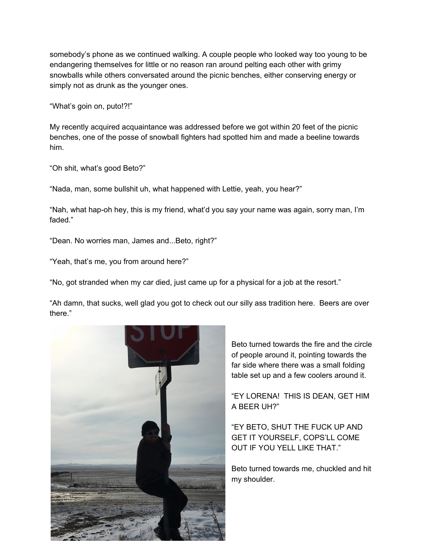somebody's phone as we continued walking. A couple people who looked way too young to be endangering themselves for little or no reason ran around pelting each other with grimy snowballs while others conversated around the picnic benches, either conserving energy or simply not as drunk as the younger ones.

"What's goin on, puto!?!"

My recently acquired acquaintance was addressed before we got within 20 feet of the picnic benches, one of the posse of snowball fighters had spotted him and made a beeline towards him.

"Oh shit, what's good Beto?"

"Nada, man, some bullshit uh, what happened with Lettie, yeah, you hear?"

"Nah, what hap-oh hey, this is my friend, what'd you say your name was again, sorry man, I'm faded."

"Dean. No worries man, James and...Beto, right?"

"Yeah, that's me, you from around here?"

"No, got stranded when my car died, just came up for a physical for a job at the resort."

"Ah damn, that sucks, well glad you got to check out our silly ass tradition here. Beers are over there."



Beto turned towards the fire and the circle of people around it, pointing towards the far side where there was a small folding table set up and a few coolers around it.

"EY LORENA! THIS IS DEAN, GET HIM A BEER UH?"

"EY BETO, SHUT THE FUCK UP AND GET IT YOURSELF, COPS'LL COME OUT IF YOU YELL LIKE THAT."

Beto turned towards me, chuckled and hit my shoulder.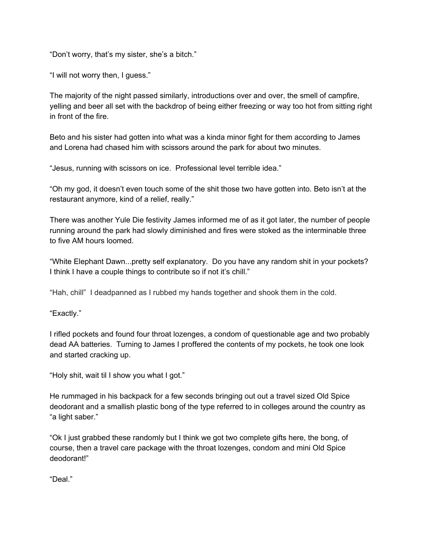"Don't worry, that's my sister, she's a bitch."

"I will not worry then, I guess."

The majority of the night passed similarly, introductions over and over, the smell of campfire, yelling and beer all set with the backdrop of being either freezing or way too hot from sitting right in front of the fire.

Beto and his sister had gotten into what was a kinda minor fight for them according to James and Lorena had chased him with scissors around the park for about two minutes.

"Jesus, running with scissors on ice. Professional level terrible idea."

"Oh my god, it doesn't even touch some of the shit those two have gotten into. Beto isn't at the restaurant anymore, kind of a relief, really."

There was another Yule Die festivity James informed me of as it got later, the number of people running around the park had slowly diminished and fires were stoked as the interminable three to five AM hours loomed.

"White Elephant Dawn...pretty self explanatory. Do you have any random shit in your pockets? I think I have a couple things to contribute so if not it's chill."

"Hah, chill" I deadpanned as I rubbed my hands together and shook them in the cold.

"Exactly."

I rifled pockets and found four throat lozenges, a condom of questionable age and two probably dead AA batteries. Turning to James I proffered the contents of my pockets, he took one look and started cracking up.

"Holy shit, wait til I show you what I got."

He rummaged in his backpack for a few seconds bringing out out a travel sized Old Spice deodorant and a smallish plastic bong of the type referred to in colleges around the country as "a light saber."

"Ok I just grabbed these randomly but I think we got two complete gifts here, the bong, of course, then a travel care package with the throat lozenges, condom and mini Old Spice deodorant!"

"Deal."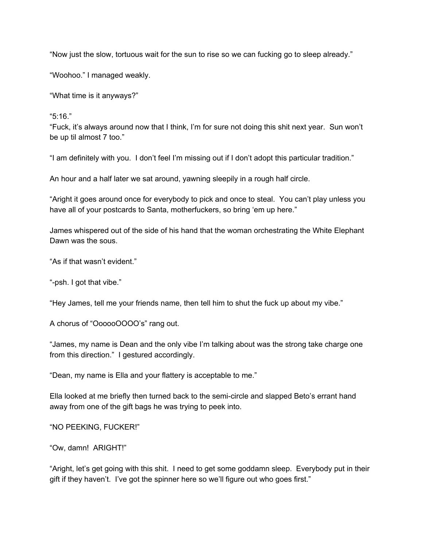"Now just the slow, tortuous wait for the sun to rise so we can fucking go to sleep already."

"Woohoo." I managed weakly.

"What time is it anyways?"

"5:16."

"Fuck, it's always around now that I think, I'm for sure not doing this shit next year. Sun won't be up til almost 7 too."

"I am definitely with you. I don't feel I'm missing out if I don't adopt this particular tradition."

An hour and a half later we sat around, yawning sleepily in a rough half circle.

"Aright it goes around once for everybody to pick and once to steal. You can't play unless you have all of your postcards to Santa, motherfuckers, so bring 'em up here."

James whispered out of the side of his hand that the woman orchestrating the White Elephant Dawn was the sous.

"As if that wasn't evident."

"-psh. I got that vibe."

"Hey James, tell me your friends name, then tell him to shut the fuck up about my vibe."

A chorus of "OooooOOOO's" rang out.

"James, my name is Dean and the only vibe I'm talking about was the strong take charge one from this direction." I gestured accordingly.

"Dean, my name is Ella and your flattery is acceptable to me."

Ella looked at me briefly then turned back to the semi-circle and slapped Beto's errant hand away from one of the gift bags he was trying to peek into.

"NO PEEKING, FUCKER!"

"Ow, damn! ARIGHT!"

"Aright, let's get going with this shit. I need to get some goddamn sleep. Everybody put in their gift if they haven't. I've got the spinner here so we'll figure out who goes first."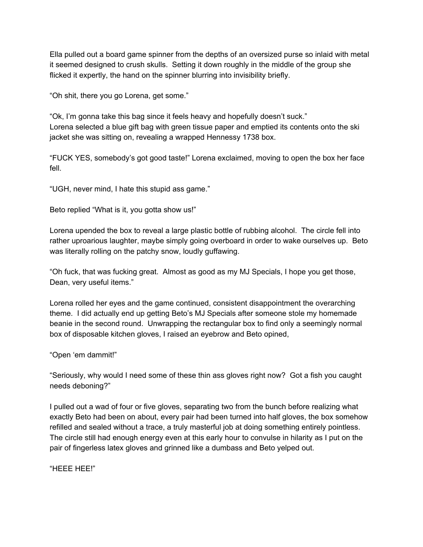Ella pulled out a board game spinner from the depths of an oversized purse so inlaid with metal it seemed designed to crush skulls. Setting it down roughly in the middle of the group she flicked it expertly, the hand on the spinner blurring into invisibility briefly.

"Oh shit, there you go Lorena, get some."

"Ok, I'm gonna take this bag since it feels heavy and hopefully doesn't suck." Lorena selected a blue gift bag with green tissue paper and emptied its contents onto the ski jacket she was sitting on, revealing a wrapped Hennessy 1738 box.

"FUCK YES, somebody's got good taste!" Lorena exclaimed, moving to open the box her face fell.

"UGH, never mind, I hate this stupid ass game."

Beto replied "What is it, you gotta show us!"

Lorena upended the box to reveal a large plastic bottle of rubbing alcohol. The circle fell into rather uproarious laughter, maybe simply going overboard in order to wake ourselves up. Beto was literally rolling on the patchy snow, loudly guffawing.

"Oh fuck, that was fucking great. Almost as good as my MJ Specials, I hope you get those, Dean, very useful items."

Lorena rolled her eyes and the game continued, consistent disappointment the overarching theme. I did actually end up getting Beto's MJ Specials after someone stole my homemade beanie in the second round. Unwrapping the rectangular box to find only a seemingly normal box of disposable kitchen gloves, I raised an eyebrow and Beto opined,

"Open 'em dammit!"

"Seriously, why would I need some of these thin ass gloves right now? Got a fish you caught needs deboning?"

I pulled out a wad of four or five gloves, separating two from the bunch before realizing what exactly Beto had been on about, every pair had been turned into half gloves, the box somehow refilled and sealed without a trace, a truly masterful job at doing something entirely pointless. The circle still had enough energy even at this early hour to convulse in hilarity as I put on the pair of fingerless latex gloves and grinned like a dumbass and Beto yelped out.

"HEEE HEE!"